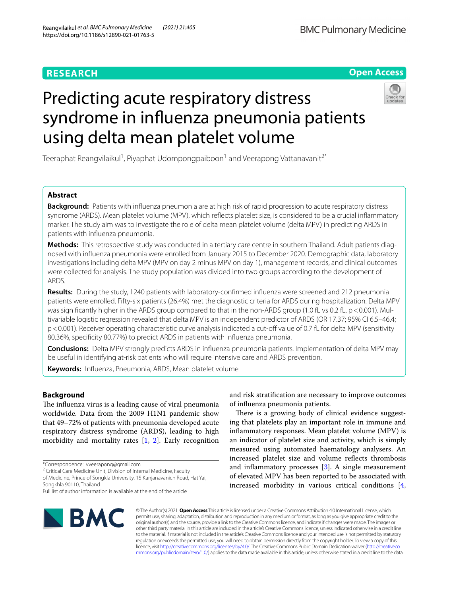# **RESEARCH**

# **BMC Pulmonary Medicine**

**Open Access**

# Predicting acute respiratory distress syndrome in infuenza pneumonia patients using delta mean platelet volume



Teeraphat Reangvilaikul<sup>1</sup>, Piyaphat Udompongpaiboon<sup>1</sup> and Veerapong Vattanavanit<sup>2\*</sup>

# **Abstract**

**Background:** Patients with influenza pneumonia are at high risk of rapid progression to acute respiratory distress syndrome (ARDS). Mean platelet volume (MPV), which refects platelet size, is considered to be a crucial infammatory marker. The study aim was to investigate the role of delta mean platelet volume (delta MPV) in predicting ARDS in patients with infuenza pneumonia.

**Methods:** This retrospective study was conducted in a tertiary care centre in southern Thailand. Adult patients diagnosed with infuenza pneumonia were enrolled from January 2015 to December 2020. Demographic data, laboratory investigations including delta MPV (MPV on day 2 minus MPV on day 1), management records, and clinical outcomes were collected for analysis. The study population was divided into two groups according to the development of ARDS.

**Results:** During the study, 1240 patients with laboratory-confrmed infuenza were screened and 212 pneumonia patients were enrolled. Fifty-six patients (26.4%) met the diagnostic criteria for ARDS during hospitalization. Delta MPV was significantly higher in the ARDS group compared to that in the non-ARDS group (1.0 fL vs 0.2 fL, p < 0.001). Multivariable logistic regression revealed that delta MPV is an independent predictor of ARDS (OR 17.37; 95% CI 6.5–46.4; p < 0.001). Receiver operating characteristic curve analysis indicated a cut-off value of 0.7 fL for delta MPV (sensitivity 80.36%, specifcity 80.77%) to predict ARDS in patients with infuenza pneumonia.

**Conclusions:** Delta MPV strongly predicts ARDS in infuenza pneumonia patients. Implementation of delta MPV may be useful in identifying at-risk patients who will require intensive care and ARDS prevention.

**Keywords:** Infuenza, Pneumonia, ARDS, Mean platelet volume

# **Background**

The influenza virus is a leading cause of viral pneumonia worldwide. Data from the 2009 H1N1 pandemic show that 49–72% of patients with pneumonia developed acute respiratory distress syndrome (ARDS), leading to high morbidity and mortality rates  $[1, 2]$  $[1, 2]$  $[1, 2]$ . Early recognition

<sup>2</sup> Critical Care Medicine Unit, Division of Internal Medicine, Faculty

of Medicine, Prince of Songkla University, 15 Kanjanavanich Road, Hat Yai, Songkhla 90110, Thailand

and risk stratifcation are necessary to improve outcomes of infuenza pneumonia patients.

There is a growing body of clinical evidence suggesting that platelets play an important role in immune and infammatory responses. Mean platelet volume (MPV) is an indicator of platelet size and activity, which is simply measured using automated haematology analysers. An increased platelet size and volume refects thrombosis and infammatory processes [[3\]](#page-6-2). A single measurement of elevated MPV has been reported to be associated with increased morbidity in various critical conditions [\[4](#page-6-3),



© The Author(s) 2021. **Open Access** This article is licensed under a Creative Commons Attribution 4.0 International License, which permits use, sharing, adaptation, distribution and reproduction in any medium or format, as long as you give appropriate credit to the original author(s) and the source, provide a link to the Creative Commons licence, and indicate if changes were made. The images or other third party material in this article are included in the article's Creative Commons licence, unless indicated otherwise in a credit line to the material. If material is not included in the article's Creative Commons licence and your intended use is not permitted by statutory regulation or exceeds the permitted use, you will need to obtain permission directly from the copyright holder. To view a copy of this licence, visit [http://creativecommons.org/licenses/by/4.0/.](http://creativecommons.org/licenses/by/4.0/) The Creative Commons Public Domain Dedication waiver ([http://creativeco](http://creativecommons.org/publicdomain/zero/1.0/) [mmons.org/publicdomain/zero/1.0/](http://creativecommons.org/publicdomain/zero/1.0/)) applies to the data made available in this article, unless otherwise stated in a credit line to the data.

<sup>\*</sup>Correspondence: vveerapong@gmail.com

Full list of author information is available at the end of the article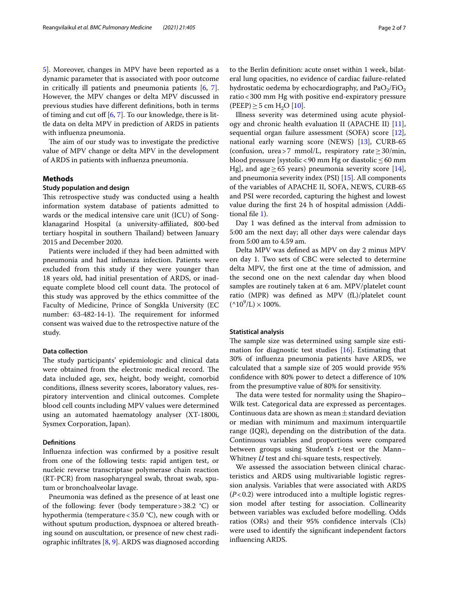[5\]](#page-6-4). Moreover, changes in MPV have been reported as a dynamic parameter that is associated with poor outcome in critically ill patients and pneumonia patients [[6,](#page-6-5) [7](#page-6-6)]. However, the MPV changes or delta MPV discussed in previous studies have diferent defnitions, both in terms of timing and cut off  $[6, 7]$  $[6, 7]$  $[6, 7]$  $[6, 7]$ . To our knowledge, there is little data on delta MPV in prediction of ARDS in patients with infuenza pneumonia.

The aim of our study was to investigate the predictive value of MPV change or delta MPV in the development of ARDS in patients with infuenza pneumonia.

# **Methods**

# **Study population and design**

This retrospective study was conducted using a health information system database of patients admitted to wards or the medical intensive care unit (ICU) of Songklanagarind Hospital (a university-afliated, 800-bed tertiary hospital in southern Thailand) between January 2015 and December 2020.

Patients were included if they had been admitted with pneumonia and had infuenza infection. Patients were excluded from this study if they were younger than 18 years old, had initial presentation of ARDS, or inadequate complete blood cell count data. The protocol of this study was approved by the ethics committee of the Faculty of Medicine, Prince of Songkla University (EC number: 63-482-14-1). The requirement for informed consent was waived due to the retrospective nature of the study.

## **Data collection**

The study participants' epidemiologic and clinical data were obtained from the electronic medical record. The data included age, sex, height, body weight, comorbid conditions, illness severity scores, laboratory values, respiratory intervention and clinical outcomes. Complete blood cell counts including MPV values were determined using an automated haematology analyser (XT-1800i, Sysmex Corporation, Japan).

# **Defnitions**

Infuenza infection was confrmed by a positive result from one of the following tests: rapid antigen test, or nucleic reverse transcriptase polymerase chain reaction (RT-PCR) from nasopharyngeal swab, throat swab, sputum or bronchoalveolar lavage.

Pneumonia was defned as the presence of at least one of the following: fever (body temperature  $>$  38.2  $^{\circ}$ C) or hypothermia (temperature<35.0 °C), new cough with or without sputum production, dyspnoea or altered breathing sound on auscultation, or presence of new chest radiographic infiltrates  $[8, 9]$  $[8, 9]$  $[8, 9]$ . ARDS was diagnosed according to the Berlin defnition: acute onset within 1 week, bilateral lung opacities, no evidence of cardiac failure-related hydrostatic oedema by echocardiography, and  $PaO<sub>2</sub>/FiO<sub>2</sub>$ ratio<300 mm Hg with positive end-expiratory pressure  $(PEEP) \ge 5$  cm H<sub>2</sub>O [[10\]](#page-6-9).

Illness severity was determined using acute physiology and chronic health evaluation II (APACHE II) [\[11](#page-6-10)], sequential organ failure assessment (SOFA) score [\[12](#page-6-11)], national early warning score (NEWS) [\[13\]](#page-6-12), CURB-65 (confusion, urea>7 mmol/L, respiratory rate≥30/min, blood pressure [systolic<90 mm Hg or diastolic≤60 mm Hg], and age  $\geq 65$  years) pneumonia severity score [\[14](#page-6-13)], and pneumonia severity index (PSI) [[15\]](#page-6-14). All components of the variables of APACHE II, SOFA, NEWS, CURB-65 and PSI were recorded, capturing the highest and lowest value during the frst 24 h of hospital admission (Additional fle [1](#page-5-0)).

Day 1 was defned as the interval from admission to 5:00 am the next day; all other days were calendar days from 5:00 am to 4.59 am.

Delta MPV was defned as MPV on day 2 minus MPV on day 1. Two sets of CBC were selected to determine delta MPV, the frst one at the time of admission, and the second one on the next calendar day when blood samples are routinely taken at 6 am. MPV/platelet count ratio (MPR) was defned as MPV (fL)/platelet count  $(^{4}10^{9}/L) \times 100\%$ .

## **Statistical analysis**

The sample size was determined using sample size estimation for diagnostic test studies [[16\]](#page-6-15). Estimating that 30% of infuenza pneumonia patients have ARDS, we calculated that a sample size of 205 would provide 95% confdence with 80% power to detect a diference of 10% from the presumptive value of 80% for sensitivity.

The data were tested for normality using the Shapiro-Wilk test. Categorical data are expressed as percentages. Continuous data are shown as mean $\pm$ standard deviation or median with minimum and maximum interquartile range (IQR), depending on the distribution of the data. Continuous variables and proportions were compared between groups using Student's *t*-test or the Mann– Whitney *U* test and chi-square tests, respectively.

We assessed the association between clinical characteristics and ARDS using multivariable logistic regression analysis. Variables that were associated with ARDS (*P*<0.2) were introduced into a multiple logistic regression model after testing for association. Collinearity between variables was excluded before modelling. Odds ratios (ORs) and their 95% confdence intervals (CIs) were used to identify the signifcant independent factors infuencing ARDS.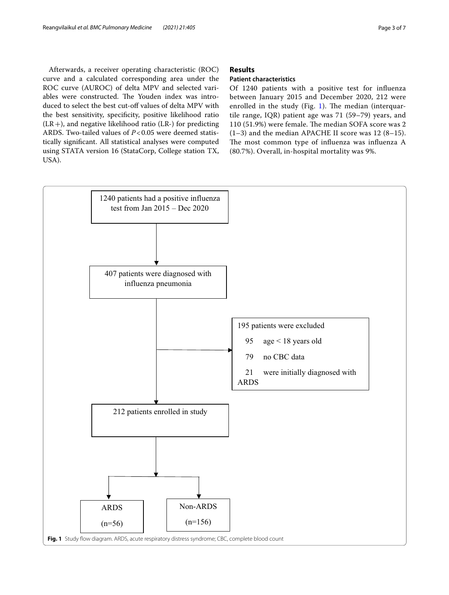Afterwards, a receiver operating characteristic (ROC) curve and a calculated corresponding area under the ROC curve (AUROC) of delta MPV and selected variables were constructed. The Youden index was introduced to select the best cut-off values of delta MPV with the best sensitivity, specificity, positive likelihood ratio  $(LR+)$ , and negative likelihood ratio (LR-) for predicting ARDS. Two-tailed values of *P*<0.05 were deemed statistically signifcant. All statistical analyses were computed using STATA version 16 (StataCorp, College station TX, USA).

# **Results**

# **Patient characteristics**

Of 1240 patients with a positive test for infuenza between January 2015 and December 2020, 212 were enrolled in the study (Fig. [1\)](#page-2-0). The median (interquartile range, IQR) patient age was 71 (59–79) years, and 110 (51.9%) were female. The median SOFA score was 2  $(1-3)$  and the median APACHE II score was 12 (8-15). The most common type of influenza was influenza A (80.7%). Overall, in-hospital mortality was 9%.

<span id="page-2-0"></span>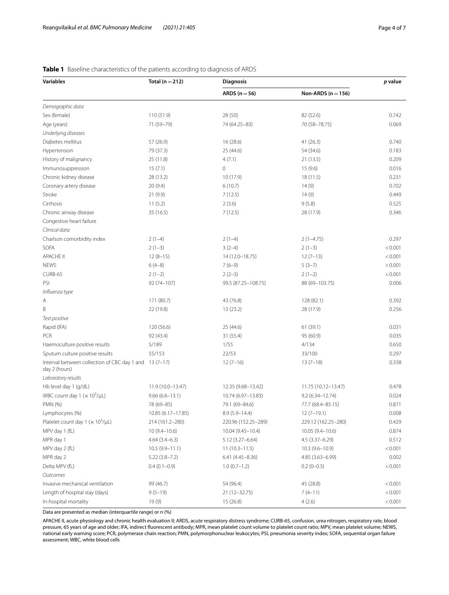| <b>Variables</b>                                                        | Total ( $n = 212$ ) | <b>Diagnosis</b>    |                        | p value |
|-------------------------------------------------------------------------|---------------------|---------------------|------------------------|---------|
|                                                                         |                     | ARDS ( $n = 56$ )   | Non-ARDS ( $n = 156$ ) |         |
| Demographic data                                                        |                     |                     |                        |         |
| Sex (female)                                                            | 110 (51.9)          | 28 (50)             | 82 (52.6)              | 0.742   |
| Age (years)                                                             | 71 (59-79)          | 74 (64.25-83)       | 70 (58-78.75)          | 0.069   |
| Underlying diseases                                                     |                     |                     |                        |         |
| Diabetes mellitus                                                       | 57 (26.9)           | 16 (28.6)           | 41(26.3)               | 0.740   |
| Hypertension                                                            | 79 (37.3)           | 25 (44.6)           | 54 (34.6)              | 0.183   |
| History of malignancy                                                   | 25 (11.8)           | 4(7.1)              | 21(13.5)               | 0.209   |
| Immunosuppression                                                       | 15(7.1)             | $\mathbf{0}$        | 15(9.6)                | 0.016   |
| Chronic kidney disease                                                  | 28 (13.2)           | 10(17.9)            | 18(11.5)               | 0.231   |
| Coronary artery disease                                                 | 20(9.4)             | 6(10.7)             | 14(9)                  | 0.702   |
| Stroke                                                                  | 21(9.9)             | 7(12.5)             | 14(9)                  | 0.449   |
| Cirrhosis                                                               | 11(5.2)             | 2(3.6)              | 9(5.8)                 | 0.525   |
| Chronic airway disease                                                  | 35 (16.5)           | 7(12.5)             | 28 (17.9)              | 0.346   |
| Congestive heart failure                                                |                     |                     |                        |         |
| Clinical data                                                           |                     |                     |                        |         |
| Charlson comorbidity index                                              | $2(1-4)$            | $2(1-4)$            | $2(1-4.75)$            | 0.297   |
| SOFA                                                                    | $2(1-3)$            | $3(2-4)$            | $2(1-3)$               | < 0.001 |
| <b>APACHE II</b>                                                        | $12(8-15)$          | 14 (12.0-18.75)     | $12(7-13)$             | < 0.001 |
| <b>NEWS</b>                                                             | $6(4-8)$            | $7(6-9)$            | $5(3-7)$               | < 0.001 |
| CURB-65                                                                 | $2(1-2)$            | $2(2-3)$            | $2(1-2)$               | < 0.001 |
| PSI                                                                     | 92 (74-107)         | 99.5 (87.25-108.75) | 88 (69-103.75)         | 0.006   |
| Influenza type                                                          |                     |                     |                        |         |
| Α                                                                       | 171 (80.7)          | 43 (76.8)           | 128 (82.1)             | 0.392   |
| Β                                                                       | 22 (19.8)           | 13(23.2)            | 28 (17.9)              | 0.256   |
| Test positive                                                           |                     |                     |                        |         |
| Rapid (IFA)                                                             | 120 (56.6)          | 25 (44.6)           | 61 (39.1)              | 0.031   |
| PCR                                                                     | 92 (43.4)           | 31(55.4)            | 95 (60.9)              | 0.035   |
| Haemoculture positive results                                           | 5/189               | 1/55                | 4/134                  | 0.650   |
| Sputum culture positive results                                         | 55/153              | 22/53               | 33/100                 | 0.297   |
| Interval between collection of CBC day 1 and 13 (7-17)<br>day 2 (hours) |                     | $12(7-16)$          | $13(7-18)$             | 0.338   |
| Laboratory results                                                      |                     |                     |                        |         |
| Hb level day 1 (g/dL)                                                   | 11.9 (10.0-13.47)   | 12.35 (9.68-13.42)  | 11.75 (10.12-13.47)    | 0.478   |
| WBC count day $1 (x 10^3/\mu L)$                                        | $9.66(6.6 - 13.1)$  | 10.74 (6.97-13.83)  | $9.2(6.34 - 12.74)$    | 0.024   |
| PMN (%)                                                                 | 78 (69-85)          | 79.1 (69-84.6)      | 77.7 (68.4-85.15)      | 0.871   |
| Lymphocytes (%)                                                         | 10.85 (6.17–17.85)  | $8.9(5.9 - 14.4)$   | $12(7-19.1)$           | 0.008   |
| Platelet count day 1 ( $\times$ 10 <sup>3</sup> /µL)                    | 214 (161.2-280)     | 220.96 (152.25-289) | 229.12 (162.25-280)    | 0.429   |
| MPV day 1 (fL)                                                          | $10(9.4 - 10.6)$    | 10.04 (9.45-10.4)   | 10.05 (9.4-10.6)       | 0.874   |
| MPR day 1                                                               | $4.64(3.4-6.3)$     | $5.12(3.27 - 6.64)$ | $4.5(3.37 - 6.29)$     | 0.512   |
| MPV day 2 (fL)                                                          | $10.5(9.9 - 11.1)$  | $11(10.3-11.5)$     | $10.3(9.6 - 10.9)$     | < 0.001 |
| MPR day 2                                                               | $5.22(3.8 - 7.2)$   | $6.41(4.45 - 8.36)$ | 4.85 (3.63-6.99)       | 0.002   |
| Delta MPV (fL)                                                          | $0.4(0.1-0.9)$      | $1.0(0.7-1.2)$      | $0.2(0-0.5)$           | < 0.001 |
| Outcomes                                                                |                     |                     |                        |         |
| Invasive mechanical ventilation                                         | 99 (46.7)           | 54 (96.4)           | 45 (28.8)              | < 0.001 |
| Length of hospital stay (days)                                          | $9(5-19)$           | 21 (12-32.75)       | $7(4-11)$              | < 0.001 |
| In-hospital mortality                                                   | 19(9)               | 15(26.8)            | 4(2.6)                 | < 0.001 |

# <span id="page-3-0"></span>**Table 1** Baseline characteristics of the patients according to diagnosis of ARDS

Data are presented as median (interquartile range) or n (%)

APACHE II, acute physiology and chronic health evaluation II; ARDS, acute respiratory distress syndrome; CURB-65, confusion, urea nitrogen, respiratory rate, blood pressure, 65 years of age and older; IFA, indirect fuorescent antibody; MPR, mean platelet count volume to platelet count ratio; MPV, mean platelet volume; NEWS, national early warning score; PCR, polymerase chain reaction; PMN, polymorphonuclear leukocytes; PSI, pneumonia severity index; SOFA, sequential organ failure assessment; WBC, white blood cells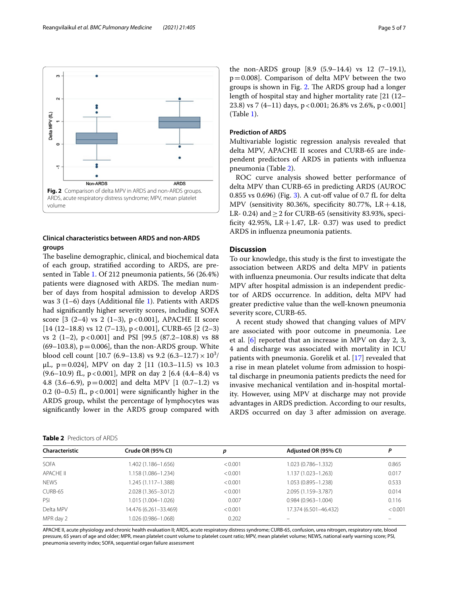

# <span id="page-4-0"></span>**Clinical characteristics between ARDS and non-ARDS groups**

The baseline demographic, clinical, and biochemical data of each group, stratifed according to ARDS, are presented in Table [1](#page-3-0). Of 212 pneumonia patients, 56 (26.4%) patients were diagnosed with ARDS. The median number of days from hospital admission to develop ARDS was 3 (1–6) days (Additional file [1\)](#page-5-0). Patients with ARDS had signifcantly higher severity scores, including SOFA score [3 (2-4) vs 2 (1-3), p<0.001], APACHE II score  $[14 (12-18.8) \text{ vs } 12 (7-13), \text{ p} < 0.001], \text{CURB-65 } [2 (2-3)$ vs 2 (1-2),  $p < 0.001$ ] and PSI [99.5 (87.2–108.8) vs 88  $(69-103.8)$ ,  $p=0.006$ , than the non-ARDS group. White blood cell count [10.7 (6.9–13.8) vs 9.2 (6.3–12.7)  $\times 10^3/$  $\mu$ L, p = 0.024], MPV on day 2 [11 (10.3–11.5) vs 10.3  $(9.6–10.9)$  fL, p < 0.001], MPR on day 2 [6.4 (4.4–8.4) vs 4.8 (3.6–6.9),  $p=0.002$ ] and delta MPV [1 (0.7–1.2) vs 0.2 (0–0.5) fL,  $p < 0.001$ ] were significantly higher in the ARDS group, whilst the percentage of lymphocytes was signifcantly lower in the ARDS group compared with

<span id="page-4-1"></span>

the non-ARDS group [8.9 (5.9–14.4) vs 12 (7–19.1), p=0.008]. Comparison of delta MPV between the two groups is shown in Fig. [2](#page-4-0). The ARDS group had a longer length of hospital stay and higher mortality rate [21 (12– 23.8) vs 7 (4-11) days,  $p < 0.001$ ; 26.8% vs 2.6%,  $p < 0.001$ ] (Table [1\)](#page-3-0).

## **Prediction of ARDS**

Multivariable logistic regression analysis revealed that delta MPV, APACHE II scores and CURB-65 are independent predictors of ARDS in patients with infuenza pneumonia (Table [2](#page-4-1)).

ROC curve analysis showed better performance of delta MPV than CURB-65 in predicting ARDS (AUROC 0.855 vs 0.696) (Fig. [3](#page-5-1)). A cut-of value of 0.7 fL for delta MPV (sensitivity 80.36%, specifcity 80.77%, LR+4.18, LR- 0.24) and  $\geq$  2 for CURB-65 (sensitivity 83.93%, specificity 42.95%,  $LR+1.47$ ,  $LR-0.37$ ) was used to predict ARDS in infuenza pneumonia patients.

# **Discussion**

To our knowledge, this study is the frst to investigate the association between ARDS and delta MPV in patients with infuenza pneumonia. Our results indicate that delta MPV after hospital admission is an independent predictor of ARDS occurrence. In addition, delta MPV had greater predictive value than the well-known pneumonia severity score, CURB-65.

A recent study showed that changing values of MPV are associated with poor outcome in pneumonia. Lee et al. [[6\]](#page-6-5) reported that an increase in MPV on day 2, 3, 4 and discharge was associated with mortality in ICU patients with pneumonia. Gorelik et al. [\[17\]](#page-6-16) revealed that a rise in mean platelet volume from admission to hospital discharge in pneumonia patients predicts the need for invasive mechanical ventilation and in-hospital mortality. However, using MPV at discharge may not provide advantages in ARDS prediction. According to our results, ARDS occurred on day 3 after admission on average.

| <b>Characteristic</b> | Crude OR (95% CI)     | р       | Adjusted OR (95% CI)   | Р       |
|-----------------------|-----------------------|---------|------------------------|---------|
| <b>SOFA</b>           | 1.402 (1.186-1.656)   | < 0.001 | 1.023 (0.786-1.332)    | 0.865   |
| <b>APACHE II</b>      | 1.158 (1.086-1.234)   | < 0.001 | 1.137 (1.023-1.263)    | 0.017   |
| <b>NEWS</b>           | 1.245 (1.117–1.388)   | < 0.001 | 1.053 (0.895-1.238)    | 0.533   |
| CURB-65               | 2.028 (1.365-3.012)   | < 0.001 | 2.095 (1.159-3.787)    | 0.014   |
| PSI                   | 1.015 (1.004-1.026)   | 0.007   | $0.984(0.963 - 1.004)$ | 0.116   |
| Delta MPV             | 14.476 (6.261-33.469) | < 0.001 | 17.374 (6.501-46.432)  | < 0.001 |
| MPR day 2             | 1.026 (0.986-1.068)   | 0.202   |                        |         |

APACHE II, acute physiology and chronic health evaluation II; ARDS, acute respiratory distress syndrome; CURB-65, confusion, urea nitrogen, respiratory rate, blood pressure, 65 years of age and older; MPR, mean platelet count volume to platelet count ratio; MPV, mean platelet volume; NEWS, national early warning score; PSI, pneumonia severity index; SOFA, sequential organ failure assessment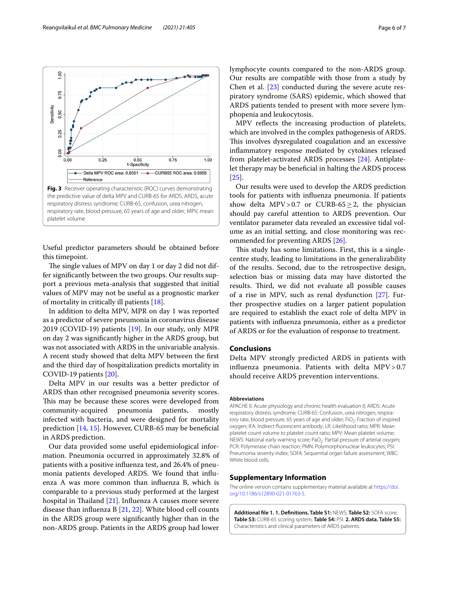<span id="page-5-1"></span>Useful predictor parameters should be obtained before this timepoint.

The single values of MPV on day 1 or day 2 did not differ signifcantly between the two groups. Our results support a previous meta-analysis that suggested that initial values of MPV may not be useful as a prognostic marker of mortality in critically ill patients [[18](#page-6-17)].

In addition to delta MPV, MPR on day 1 was reported as a predictor of severe pneumonia in coronavirus disease 2019 (COVID-19) patients [[19\]](#page-6-18). In our study, only MPR on day 2 was signifcantly higher in the ARDS group, but was not associated with ARDS in the univariable analysis. A recent study showed that delta MPV between the frst and the third day of hospitalization predicts mortality in COVID-19 patients [\[20](#page-6-19)].

Delta MPV in our results was a better predictor of ARDS than other recognised pneumonia severity scores. This may be because these scores were developed from community-acquired pneumonia patients, mostly infected with bacteria, and were designed for mortality prediction [[14,](#page-6-13) [15\]](#page-6-14). However, CURB-65 may be benefcial in ARDS prediction.

Our data provided some useful epidemiological information. Pneumonia occurred in approximately 32.8% of patients with a positive infuenza test, and 26.4% of pneumonia patients developed ARDS. We found that infuenza A was more common than infuenza B, which is comparable to a previous study performed at the largest hospital in Thailand  $[21]$  $[21]$ . Influenza A causes more severe disease than infuenza B [[21,](#page-6-20) [22](#page-6-21)]. White blood cell counts in the ARDS group were signifcantly higher than in the non-ARDS group. Patients in the ARDS group had lower lymphocyte counts compared to the non-ARDS group. Our results are compatible with those from a study by Chen et al.  $[23]$  $[23]$  $[23]$  conducted during the severe acute respiratory syndrome (SARS) epidemic, which showed that ARDS patients tended to present with more severe lymphopenia and leukocytosis.

MPV refects the increasing production of platelets, which are involved in the complex pathogenesis of ARDS. This involves dysregulated coagulation and an excessive infammatory response mediated by cytokines released from platelet-activated ARDS processes [[24\]](#page-6-23). Antiplatelet therapy may be benefcial in halting the ARDS process [[25\]](#page-6-24).

Our results were used to develop the ARDS prediction tools for patients with infuenza pneumonia. If patients show delta MPV>0.7 or CURB-65 $\geq$ 2, the physician should pay careful attention to ARDS prevention. Our ventilator parameter data revealed an excessive tidal volume as an initial setting, and close monitoring was recommended for preventing ARDS [\[26\]](#page-6-25).

This study has some limitations. First, this is a singlecentre study, leading to limitations in the generalizability of the results. Second, due to the retrospective design, selection bias or missing data may have distorted the results. Third, we did not evaluate all possible causes of a rise in MPV, such as renal dysfunction [[27\]](#page-6-26). Further prospective studies on a larger patient population are required to establish the exact role of delta MPV in patients with infuenza pneumonia, either as a predictor of ARDS or for the evaluation of response to treatment.

# **Conclusions**

Delta MPV strongly predicted ARDS in patients with influenza pneumonia. Patients with delta  $MPV > 0.7$ should receive ARDS prevention interventions.

#### **Abbreviations**

APACHE II: Acute physiology and chronic health evaluation II; ARDS: Acute respiratory distress syndrome; CURB-65: Confusion, urea nitrogen, respiratory rate, blood pressure, 65 years of age and older; FiO<sub>2</sub>: Fraction of inspired oxygen; IFA: Indirect fuorescent antibody; LR: Likelihood ratio; MPR: Mean platelet count volume to platelet count ratio; MPV: Mean platelet volume; NEWS: National early warning score; PaO<sub>2</sub>: Partial pressure of arterial oxygen; PCR: Polymerase chain reaction; PMN: Polymorphonuclear leukocytes; PSI: Pneumonia severity index; SOFA: Sequential organ failure assessment; WBC: White blood cells

#### **Supplementary Information**

The online version contains supplementary material available at [https://doi.](https://doi.org/10.1186/s12890-021-01763-5) [org/10.1186/s12890-021-01763-5](https://doi.org/10.1186/s12890-021-01763-5).

<span id="page-5-0"></span>**Additional fle 1. 1. Defnitions. Table S1:** NEWS; **Table S2:** SOFA score; **Table S3:** CURB-65 scoring system; **Table S4:** PSI. **2. ARDS data. Table S5:** Characteristics and clinical parameters of ARDS patients.